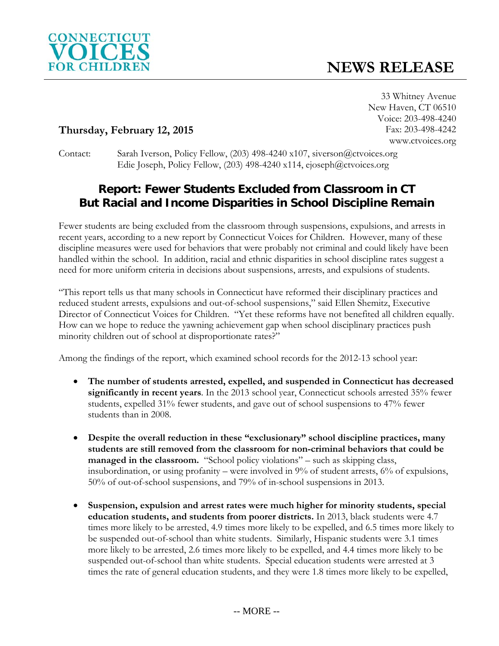

33 Whitney Avenue New Haven, CT 06510 Voice: 203-498-4240 Fax: 203-498-4242 www.ctvoices.org

## **Thursday, February 12, 2015**

Contact: Sarah Iverson, Policy Fellow, (203) 498-4240 x107, siverson@ctvoices.org Edie Joseph, Policy Fellow, (203) 498-4240 x114, ejoseph@ctvoices.org

## **Report: Fewer Students Excluded from Classroom in CT But Racial and Income Disparities in School Discipline Remain**

Fewer students are being excluded from the classroom through suspensions, expulsions, and arrests in recent years, according to a new report by Connecticut Voices for Children. However, many of these discipline measures were used for behaviors that were probably not criminal and could likely have been handled within the school. In addition, racial and ethnic disparities in school discipline rates suggest a need for more uniform criteria in decisions about suspensions, arrests, and expulsions of students.

"This report tells us that many schools in Connecticut have reformed their disciplinary practices and reduced student arrests, expulsions and out-of-school suspensions," said Ellen Shemitz, Executive Director of Connecticut Voices for Children. "Yet these reforms have not benefited all children equally. How can we hope to reduce the yawning achievement gap when school disciplinary practices push minority children out of school at disproportionate rates?"

Among the findings of the report, which examined school records for the 2012-13 school year:

- **The number of students arrested, expelled, and suspended in Connecticut has decreased significantly in recent years**. In the 2013 school year, Connecticut schools arrested 35% fewer students, expelled 31% fewer students, and gave out of school suspensions to 47% fewer students than in 2008.
- **Despite the overall reduction in these "exclusionary" school discipline practices, many students are still removed from the classroom for non-criminal behaviors that could be**  managed in the classroom. "School policy violations" – such as skipping class, insubordination, or using profanity – were involved in 9% of student arrests, 6% of expulsions, 50% of out-of-school suspensions, and 79% of in-school suspensions in 2013.
- **Suspension, expulsion and arrest rates were much higher for minority students, special education students, and students from poorer districts.** In 2013, black students were 4.7 times more likely to be arrested, 4.9 times more likely to be expelled, and 6.5 times more likely to be suspended out-of-school than white students. Similarly, Hispanic students were 3.1 times more likely to be arrested, 2.6 times more likely to be expelled, and 4.4 times more likely to be suspended out-of-school than white students. Special education students were arrested at 3 times the rate of general education students, and they were 1.8 times more likely to be expelled,